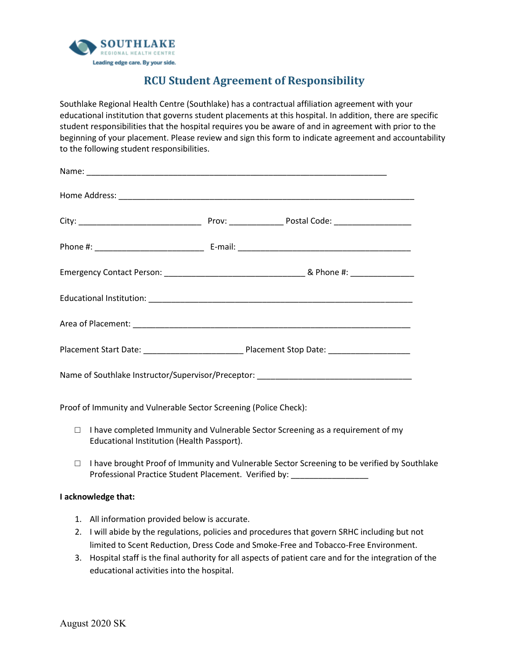

## **RCU Student Agreement of Responsibility**

Southlake Regional Health Centre (Southlake) has a contractual affiliation agreement with your educational institution that governs student placements at this hospital. In addition, there are specific student responsibilities that the hospital requires you be aware of and in agreement with prior to the beginning of your placement. Please review and sign this form to indicate agreement and accountability to the following student responsibilities.

| Name of Southlake Instructor/Supervisor/Preceptor: _____________________________ |  |
|----------------------------------------------------------------------------------|--|

Proof of Immunity and Vulnerable Sector Screening (Police Check):

- $\Box$  I have completed Immunity and Vulnerable Sector Screening as a requirement of my Educational Institution (Health Passport).
- $\Box$  I have brought Proof of Immunity and Vulnerable Sector Screening to be verified by Southlake Professional Practice Student Placement. Verified by: \_\_\_\_\_\_\_\_\_\_\_\_\_\_\_\_\_\_\_\_\_\_\_\_\_\_

## **I acknowledge that:**

- 1. All information provided below is accurate.
- 2. I will abide by the regulations, policies and procedures that govern SRHC including but not limited to Scent Reduction, Dress Code and Smoke-Free and Tobacco-Free Environment.
- 3. Hospital staff is the final authority for all aspects of patient care and for the integration of the educational activities into the hospital.